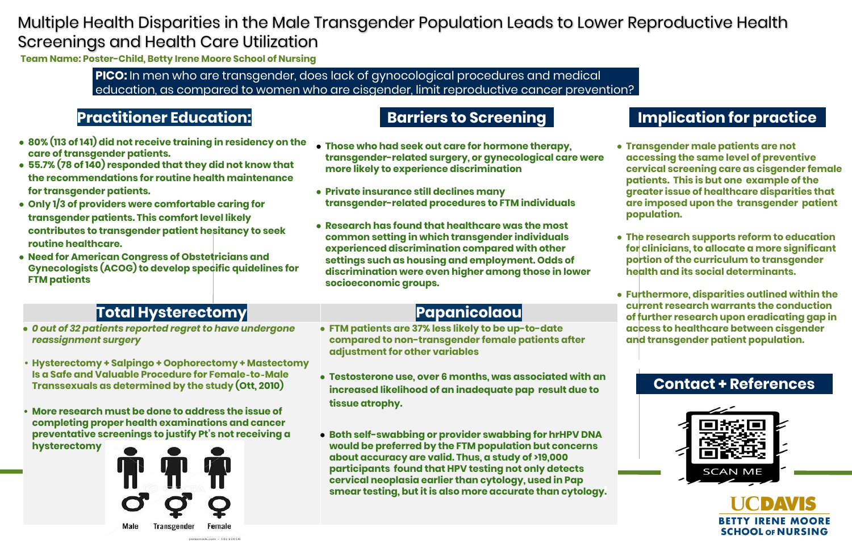**PICO:** In men who are transgender, does lack of gynocological procedures and medical education, as compared to women who are cisgender, limit reproductive cancer prevention?

### **Contact + References**



UCDAVIS **BETTY IRENE MOORE SCHOOL OF NURSING** 

## Multiple Health Disparities in the Male Transgender Population Leads to Lower Reproductive Health Screenings and Health Care Utilization

**Team Name: Poster-Child, Betty Irene Moore School of Nursing**

### **Practitioner Education:**

- **● 80% (113 of 141) did not receive training in residency on the care of transgender patients.**
- **● 55.7% (78 of 140) responded that they did not know that the recommendations for routine health maintenance for transgender patients.**
- **● Only 1/3 of providers were comfortable caring for transgender patients. This comfort level likely contributes to transgender patient hesitancy to seek routine healthcare.**
- **● Need for American Congress of Obstetricians and Gynecologists (ACOG) to develop specific quidelines for FTM patients**

# **Total Hysterectomy and all the Papanicolaou**

**● Those who had seek out care for hormone therapy, transgender-related surgery, or gynecological care were** 

**transgender-related procedures to FTM individuals**

- **more likely to experience discrimination**
- **● Private insurance still declines many**
- **socioeconomic groups.**

Female

**● Research has found that healthcare was the most common setting in which transgender individuals experienced discrimination compared with other settings such as housing and employment. Odds of discrimination were even higher among those in lower**

**● Transgender male patients are not accessing the same level of preventive cervical screening care as cisgender female patients. This is but one example of the greater issue of healthcare disparities that are imposed upon the transgender patient population.** 

**● The research supports reform to education for clinicians, to allocate a more significant portion of the curriculum to transgender health and its social determinants.** 

**● Furthermore, disparities outlined within the current research warrants the conduction of further research upon eradicating gap in access to healthcare between cisgender and transgender patient population.**

- *● 0 out of 32 patients reported regret to have undergone reassignment surgery*
- **• Hysterectomy + Salpingo + Oophorectomy + Mastectomy Is a Safe and Valuable Procedure for Female**‐**to**‐**Male Transsexuals as determined by the study (Ott, 2010)**
- **• More research must be done to address the issue of completing proper health examinations and cancer preventative screenings to justify Pt's not receiving a hysterectomy**



**● FTM patients are 37% less likely to be up-to-date compared to non-transgender female patients after** 

- **adjustment for other variables**
- **tissue atrophy.**
- 

**● Testosterone use, over 6 months, was associated with an increased likelihood of an inadequate pap result due to** 

**● Both self-swabbing or provider swabbing for hrHPV DNA would be preferred by the FTM population but concerns about accuracy are valid. Thus, a study of >19,000 participants found that HPV testing not only detects cervical neoplasia earlier than cytology, used in Pap smear testing, but it is also more accurate than cytology.**











## **Barriers to Screening <b>Implication** for practice